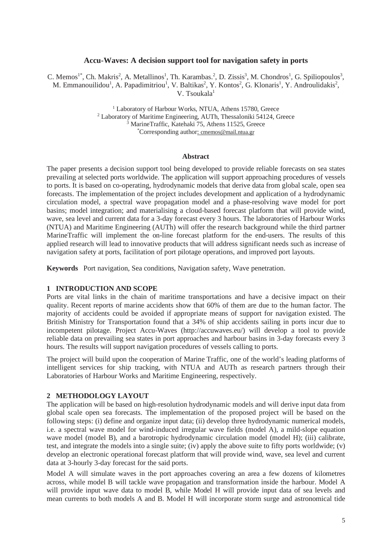## **Accu-Waves: A decision support tool for navigation safety in ports**

C. Memos<sup>1\*</sup>, Ch. Makris<sup>2</sup>, A. Metallinos<sup>1</sup>, Th. Karambas.<sup>2</sup>, D. Zissis<sup>3</sup>, M. Chondros<sup>1</sup>, G. Spiliopoulos<sup>3</sup>, M. Emmanouilidou<sup>1</sup>, A. Papadimitriou<sup>1</sup>, V. Baltikas<sup>2</sup>, Y. Kontos<sup>2</sup>, G. Klonaris<sup>1</sup>, Y. Androulidakis<sup>2</sup>, V. Tsoukala<sup>1</sup>

> <sup>1</sup> Laboratory of Harbour Works, NTUA, Athens 15780, Greece <sup>2</sup> Laboratory of Maritime Engineering, AUTh, Thessaloniki 54124, G <sup>2</sup> Laboratory of Maritime Engineering, AUTh, Thessaloniki 54124, Greece <sup>3</sup> MarineTraffic, Katehaki 75, Athens 11525, Greece Corresponding author: cmemos@mail.ntua.gr

## **Abstract**

The paper presents a decision support tool being developed to provide reliable forecasts on sea states prevailing at selected ports worldwide. The application will support approaching procedures of vessels to ports. It is based on co-operating, hydrodynamic models that derive data from global scale, open sea forecasts. The implementation of the project includes development and application of a hydrodynamic circulation model, a spectral wave propagation model and a phase-resolving wave model for port basins; model integration; and materialising a cloud-based forecast platform that will provide wind, wave, sea level and current data for a 3-day forecast every 3 hours. The laboratories of Harbour Works (NTUA) and Maritime Engineering (AUTh) will offer the research background while the third partner MarineTraffic will implement the on-line forecast platform for the end-users. The results of this applied research will lead to innovative products that will address significant needs such as increase of navigation safety at ports, facilitation of port pilotage operations, and improved port layouts.

**Keywords** Port navigation, Sea conditions, Navigation safety, Wave penetration.

## **1 INTRODUCTION AND SCOPE**

Ports are vital links in the chain of maritime transportations and have a decisive impact on their quality. Recent reports of marine accidents show that 60% of them are due to the human factor. The majority of accidents could be avoided if appropriate means of support for navigation existed. The British Ministry for Transportation found that a 34% of ship accidents sailing in ports incur due to incompetent pilotage. Project Accu-Waves (http://accuwaves.eu/) will develop a tool to provide reliable data on prevailing sea states in port approaches and harbour basins in 3-day forecasts every 3 hours. The results will support navigation procedures of vessels calling to ports.

The project will build upon the cooperation of Marine Traffic, one of the world's leading platforms of intelligent services for ship tracking, with NTUA and AUTh as research partners through their Laboratories of Harbour Works and Maritime Engineering, respectively.

### **2 METHODOLOGY LAYOUT**

The application will be based on high-resolution hydrodynamic models and will derive input data from global scale open sea forecasts. The implementation of the proposed project will be based on the following steps: (i) define and organize input data; (ii) develop three hydrodynamic numerical models, i.e. a spectral wave model for wind-induced irregular wave fields (model A), a mild-slope equation wave model (model B), and a barotropic hydrodynamic circulation model (model H); (iii) calibrate, test, and integrate the models into a single suite; (iv) apply the above suite to fifty ports worldwide; (v) develop an electronic operational forecast platform that will provide wind, wave, sea level and current data at 3-hourly 3-day forecast for the said ports.

Model A will simulate waves in the port approaches covering an area a few dozens of kilometres across, while model B will tackle wave propagation and transformation inside the harbour. Model A will provide input wave data to model B, while Model H will provide input data of sea levels and mean currents to both models A and B. Model H will incorporate storm surge and astronomical tide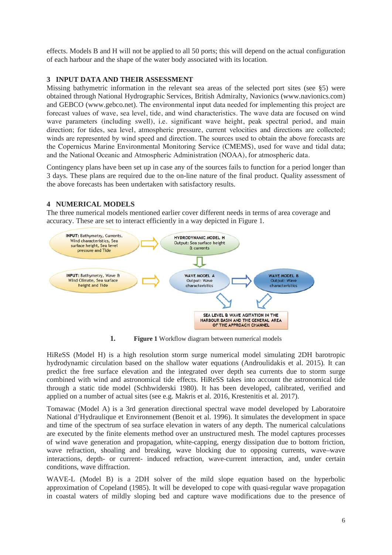effects. Models B and H will not be applied to all 50 ports; this will depend on the actual configuration of each harbour and the shape of the water body associated with its location.

## **3 INPUT DATA AND THEIR ASSESSMENT**

Missing bathymetric information in the relevant sea areas of the selected port sites (see §5) were obtained through National Hydrographic Services, British Admiralty, Navionics (www.navionics.com) and GEBCO (www.gebco.net). The environmental input data needed for implementing this project are forecast values of wave, sea level, tide, and wind characteristics. The wave data are focused on wind wave parameters (including swell), i.e. significant wave height, peak spectral period, and main direction; for tides, sea level, atmospheric pressure, current velocities and directions are collected; winds are represented by wind speed and direction. The sources used to obtain the above forecasts are the Copernicus Marine Environmental Monitoring Service (CMEMS), used for wave and tidal data; and the National Oceanic and Atmospheric Administration (NOAA), for atmospheric data.

Contingency plans have been set up in case any of the sources fails to function for a period longer than 3 days. These plans are required due to the on-line nature of the final product. Quality assessment of the above forecasts has been undertaken with satisfactory results.

# **4 NUMERICAL MODELS**

The three numerical models mentioned earlier cover different needs in terms of area coverage and accuracy. These are set to interact efficiently in a way depicted in Figure 1.



**1. Figure 1** Workflow diagram between numerical models

HiReSS (Model H) is a high resolution storm surge numerical model simulating 2DH barotropic hydrodynamic circulation based on the shallow water equations (Androulidakis et al. 2015). It can predict the free surface elevation and the integrated over depth sea currents due to storm surge combined with wind and astronomical tide effects. HiReSS takes into account the astronomical tide through a static tide model (Schhwiderski 1980). It has been developed, calibrated, verified and applied on a number of actual sites (see e.g. Makris et al. 2016, Krestenitis et al. 2017).

Tomawac (Model A) is a 3rd generation directional spectral wave model developed by Laboratoire National d'Hydraulique et Environnement (Benoit et al. 1996). It simulates the development in space and time of the spectrum of sea surface elevation in waters of any depth. The numerical calculations are executed by the finite elements method over an unstructured mesh. The model captures processes of wind wave generation and propagation, white-capping, energy dissipation due to bottom friction, wave refraction, shoaling and breaking, wave blocking due to opposing currents, wave–wave interactions, depth- or current- induced refraction, wave-current interaction, and, under certain conditions, wave diffraction.

WAVE-L (Model B) is a 2DH solver of the mild slope equation based on the hyperbolic approximation of Copeland (1985). It will be developed to cope with quasi-regular wave propagation in coastal waters of mildly sloping bed and capture wave modifications due to the presence of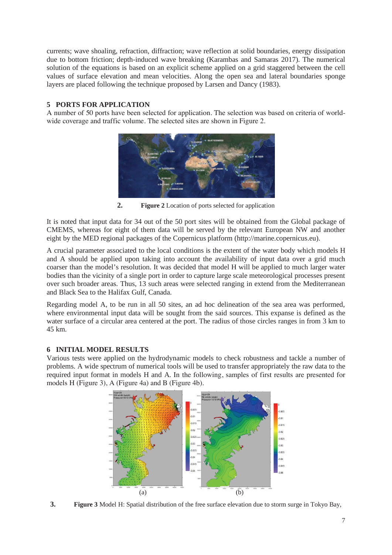currents; wave shoaling, refraction, diffraction; wave reflection at solid boundaries, energy dissipation due to bottom friction; depth-induced wave breaking (Karambas and Samaras 2017). The numerical solution of the equations is based on an explicit scheme applied on a grid staggered between the cell values of surface elevation and mean velocities. Along the open sea and lateral boundaries sponge layers are placed following the technique proposed by Larsen and Dancy (1983).

# **5 PORTS FOR APPLICATION**

A number of 50 ports have been selected for application. The selection was based on criteria of worldwide coverage and traffic volume. The selected sites are shown in Figure 2.



**2. Figure 2** Location of ports selected for application

It is noted that input data for 34 out of the 50 port sites will be obtained from the Global package of CMEMS, whereas for eight of them data will be served by the relevant European NW and another eight by the MED regional packages of the Copernicus platform (http://marine.copernicus.eu).

A crucial parameter associated to the local conditions is the extent of the water body which models H and A should be applied upon taking into account the availability of input data over a grid much coarser than the model's resolution. It was decided that model H will be applied to much larger water bodies than the vicinity of a single port in order to capture large scale meteorological processes present over such broader areas. Thus, 13 such areas were selected ranging in extend from the Mediterranean and Black Sea to the Halifax Gulf, Canada.

Regarding model A, to be run in all 50 sites, an ad hoc delineation of the sea area was performed, where environmental input data will be sought from the said sources. This expanse is defined as the water surface of a circular area centered at the port. The radius of those circles ranges in from 3 km to 45 km.

# **6 INITIAL MODEL RESULTS**

Various tests were applied on the hydrodynamic models to check robustness and tackle a number of problems. A wide spectrum of numerical tools will be used to transfer appropriately the raw data to the required input format in models H and A. In the following, samples of first results are presented for models H (Figure 3), A (Figure 4a) and B (Figure 4b).



**3. Figure 3** Model H: Spatial distribution of the free surface elevation due to storm surge in Tokyo Bay,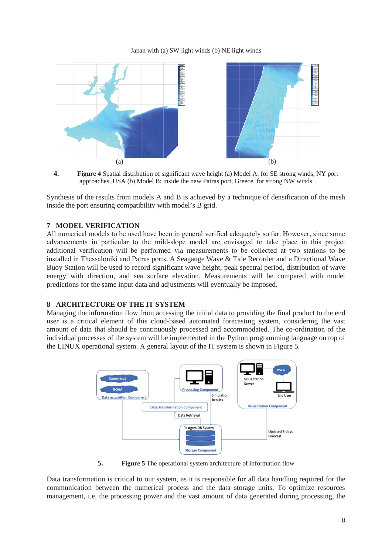### Japan with (a) SW light winds (b) NE light winds



**4. Figure 4** Spatial distribution of significant wave height (a) Model A: for SE strong winds, NY port approaches, USA (b) Model B: inside the new Patras port, Greece, for strong NW winds

Synthesis of the results from models A and B is achieved by a technique of densification of the mesh inside the port ensuring compatibility with model's B grid.

## **7 MODEL VERIFICATION**

All numerical models to be used have been in general verified adequately so far. However, since some advancements in particular to the mild-slope model are envisaged to take place in this project additional verification will be performed via measurements to be collected at two stations to be installed in Thessaloniki and Patras ports. A Seagauge Wave & Tide Recorder and a Directional Wave Buoy Station will be used to record significant wave height, peak spectral period, distribution of wave energy with direction, and sea surface elevation. Measurements will be compared with model predictions for the same input data and adjustments will eventually be imposed.

## **8 ARCHITECTURE OF THE IT SYSTEM**

Managing the information flow from accessing the initial data to providing the final product to the end user is a critical element of this cloud-based automated forecasting system, considering the vast amount of data that should be continuously processed and accommodated. The co-ordination of the individual processes of the system will be implemented in the Python programming language on top of the LINUX operational system. A general layout of the IT system is shown in Figure 5.



**5. Figure 5** The operational system architecture of information flow

Data transformation is critical to our system, as it is responsible for all data handling required for the communication between the numerical process and the data storage units. To optimize resources management, i.e. the processing power and the vast amount of data generated during processing, the